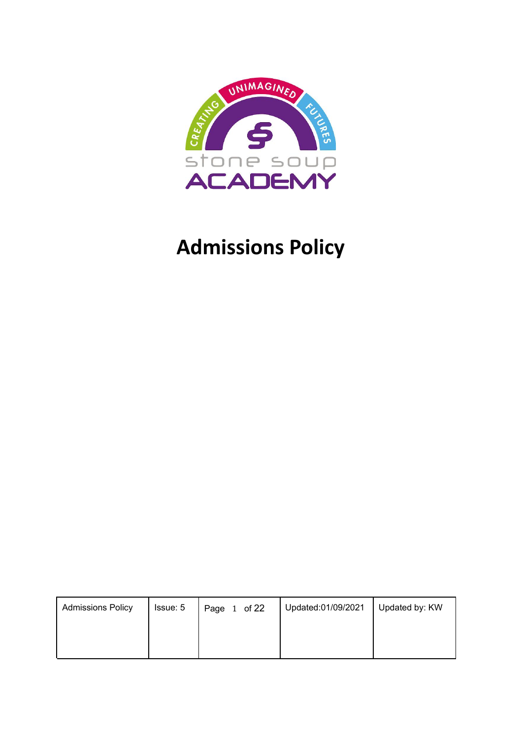

# **Admissions Policy**

| <b>Admissions Policy</b> | Issue: 5 | Page 1 of 22 | Updated:01/09/2021 | Updated by: KW |
|--------------------------|----------|--------------|--------------------|----------------|
|                          |          |              |                    |                |
|                          |          |              |                    |                |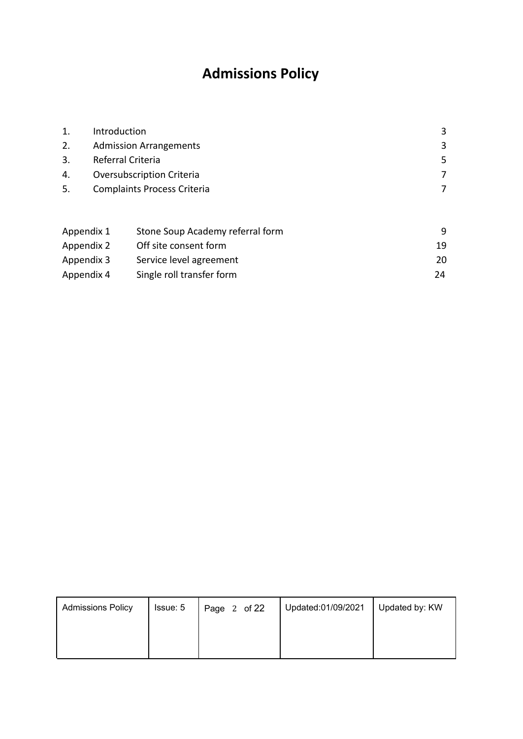## **Admissions Policy**

| 1.         | Introduction                          |                                    | 3  |  |
|------------|---------------------------------------|------------------------------------|----|--|
| 2.         |                                       | <b>Admission Arrangements</b>      | 3  |  |
| 3.         |                                       | Referral Criteria                  | 5  |  |
| 4.         |                                       | <b>Oversubscription Criteria</b>   | 7  |  |
| 5.         |                                       | <b>Complaints Process Criteria</b> | 7  |  |
|            |                                       |                                    |    |  |
| Appendix 1 |                                       | Stone Soup Academy referral form   | 9  |  |
|            | Off site consent form<br>Appendix 2   |                                    |    |  |
|            | Appendix 3<br>Service level agreement |                                    |    |  |
| Appendix 4 |                                       | Single roll transfer form          | 24 |  |

| <b>Admissions Policy</b> | Issue: 5 | Page 2 of 22 | Updated:01/09/2021 | Updated by: KW |
|--------------------------|----------|--------------|--------------------|----------------|
|                          |          |              |                    |                |
|                          |          |              |                    |                |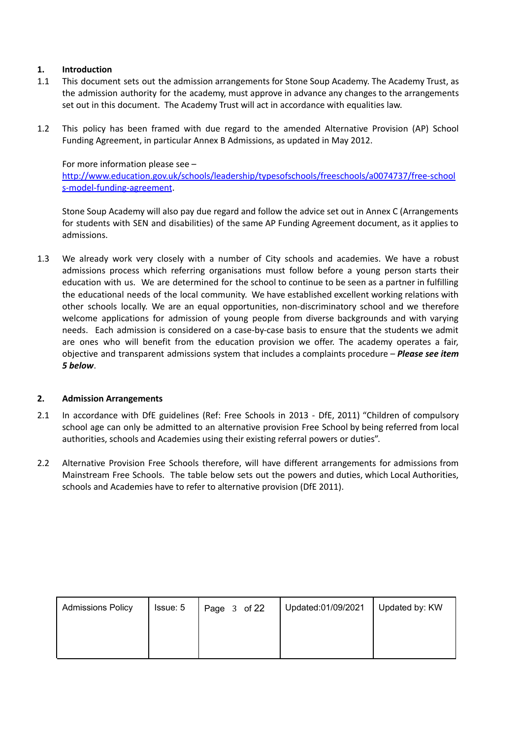#### **1. Introduction**

- 1.1 This document sets out the admission arrangements for Stone Soup Academy. The Academy Trust, as the admission authority for the academy, must approve in advance any changes to the arrangements set out in this document. The Academy Trust will act in accordance with equalities law.
- 1.2 This policy has been framed with due regard to the amended Alternative Provision (AP) School Funding Agreement, in particular Annex B Admissions, as updated in May 2012.

For more information please see –

[http://www.education.gov.uk/schools/leadership/typesofschools/freeschools/a0074737/free-school](http://www.education.gov.uk/schools/leadership/typesofschools/freeschools/a0074737/free-schools-model-funding-agreement) [s-model-funding-agreement](http://www.education.gov.uk/schools/leadership/typesofschools/freeschools/a0074737/free-schools-model-funding-agreement).

Stone Soup Academy will also pay due regard and follow the advice set out in Annex C (Arrangements for students with SEN and disabilities) of the same AP Funding Agreement document, as it applies to admissions.

1.3 We already work very closely with a number of City schools and academies. We have a robust admissions process which referring organisations must follow before a young person starts their education with us. We are determined for the school to continue to be seen as a partner in fulfilling the educational needs of the local community. We have established excellent working relations with other schools locally. We are an equal opportunities, non-discriminatory school and we therefore welcome applications for admission of young people from diverse backgrounds and with varying needs. Each admission is considered on a case-by-case basis to ensure that the students we admit are ones who will benefit from the education provision we offer. The academy operates a fair, objective and transparent admissions system that includes a complaints procedure – *Please see item 5 below*.

#### **2. Admission Arrangements**

- 2.1 In accordance with DfE guidelines (Ref: Free Schools in 2013 DfE, 2011) "Children of compulsory school age can only be admitted to an alternative provision Free School by being referred from local authorities, schools and Academies using their existing referral powers or duties".
- 2.2 Alternative Provision Free Schools therefore, will have different arrangements for admissions from Mainstream Free Schools. The table below sets out the powers and duties, which Local Authorities, schools and Academies have to refer to alternative provision (DfE 2011).

| <b>Admissions Policy</b> | Issue: 5 | Page 3 of 22 | Updated:01/09/2021 | Updated by: KW |
|--------------------------|----------|--------------|--------------------|----------------|
|                          |          |              |                    |                |
|                          |          |              |                    |                |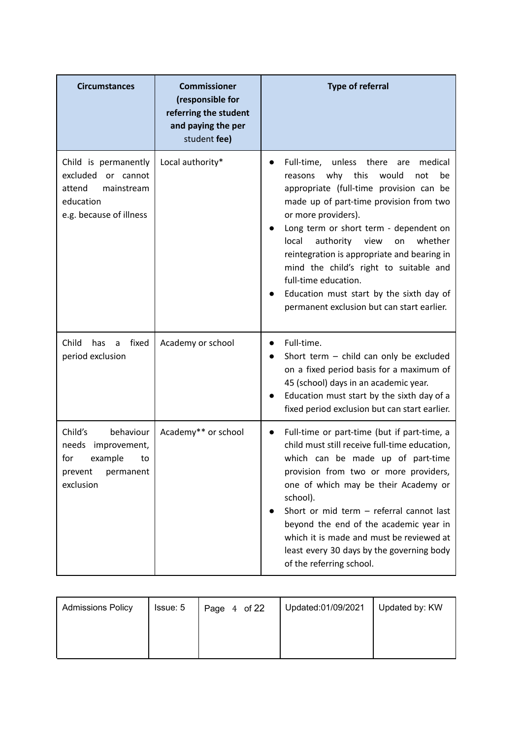| <b>Circumstances</b>                                                                                          | <b>Commissioner</b><br>(responsible for<br>referring the student<br>and paying the per<br>student fee) | <b>Type of referral</b>                                                                                                                                                                                                                                                                                                                                                                                                                                                                                    |
|---------------------------------------------------------------------------------------------------------------|--------------------------------------------------------------------------------------------------------|------------------------------------------------------------------------------------------------------------------------------------------------------------------------------------------------------------------------------------------------------------------------------------------------------------------------------------------------------------------------------------------------------------------------------------------------------------------------------------------------------------|
| Child is permanently<br>excluded<br>or cannot<br>attend<br>mainstream<br>education<br>e.g. because of illness | Local authority*                                                                                       | Full-time, unless there<br>medical<br>are<br>why<br>this<br>would<br>not<br>reasons<br>be<br>appropriate (full-time provision can be<br>made up of part-time provision from two<br>or more providers).<br>Long term or short term - dependent on<br>authority<br>view<br>whether<br>local<br>on<br>reintegration is appropriate and bearing in<br>mind the child's right to suitable and<br>full-time education.<br>Education must start by the sixth day of<br>permanent exclusion but can start earlier. |
| Child<br>fixed<br>has<br>a<br>period exclusion                                                                | Academy or school                                                                                      | Full-time.<br>Short term - child can only be excluded<br>on a fixed period basis for a maximum of<br>45 (school) days in an academic year.<br>Education must start by the sixth day of a<br>fixed period exclusion but can start earlier.                                                                                                                                                                                                                                                                  |
| Child's<br>behaviour<br>needs<br>improvement,<br>example<br>for<br>to<br>prevent<br>permanent<br>exclusion    | Academy** or school                                                                                    | Full-time or part-time (but if part-time, a<br>child must still receive full-time education,<br>which can be made up of part-time<br>provision from two or more providers,<br>one of which may be their Academy or<br>school).<br>Short or mid term - referral cannot last<br>beyond the end of the academic year in<br>which it is made and must be reviewed at<br>least every 30 days by the governing body<br>of the referring school.                                                                  |

| <b>Admissions Policy</b> | Issue: 5 | Page 4 of 22 | Updated:01/09/2021 | Updated by: KW |
|--------------------------|----------|--------------|--------------------|----------------|
|                          |          |              |                    |                |
|                          |          |              |                    |                |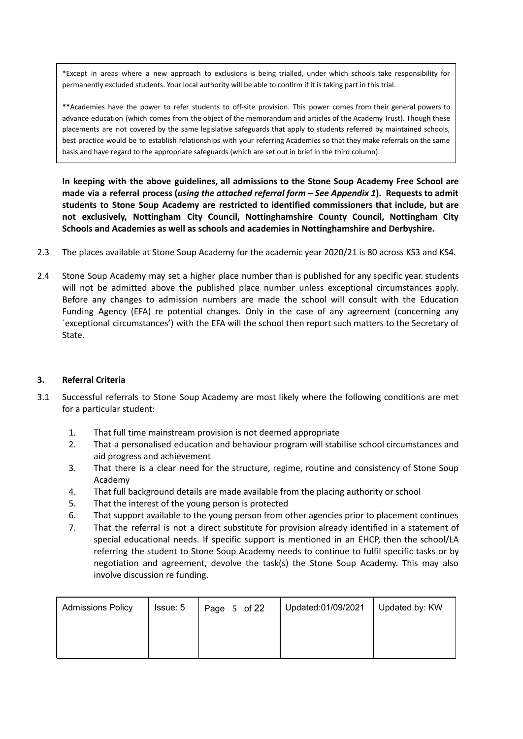\*Except in areas where a new approach to exclusions is being trialled, under which schools take responsibility for permanently excluded students. Your local authority will be able to confirm if it is taking part in this trial.

\*\*Academies have the power to refer students to off-site provision. This power comes from their general powers to advance education (which comes from the object of the memorandum and articles of the Academy Trust). Though these placements are not covered by the same legislative safeguards that apply to students referred by maintained schools, best practice would be to establish relationships with your referring Academies so that they make referrals on the same basis and have regard to the appropriate safeguards (which are set out in brief in the third column).

**In keeping with the above guidelines, all admissions to the Stone Soup Academy Free School are** made via a referral process (using the attached referral form - See Appendix 1). Requests to admit **students to Stone Soup Academy are restricted to identified commissioners that include, but are not exclusively, Nottingham City Council, Nottinghamshire County Council, Nottingham City Schools and Academies as well as schools and academies in Nottinghamshire and Derbyshire.**

- 2.3 The places available at Stone Soup Academy for the academic year 2020/21 is 80 across KS3 and KS4.
- 2.4 Stone Soup Academy may set a higher place number than is published for any specific year. students will not be admitted above the published place number unless exceptional circumstances apply. Before any changes to admission numbers are made the school will consult with the Education Funding Agency (EFA) re potential changes. Only in the case of any agreement (concerning any `exceptional circumstances') with the EFA will the school then report such matters to the Secretary of State.

#### **3. Referral Criteria**

- 3.1 Successful referrals to Stone Soup Academy are most likely where the following conditions are met for a particular student:
	- 1. That full time mainstream provision is not deemed appropriate
	- 2. That a personalised education and behaviour program will stabilise school circumstances and aid progress and achievement
	- 3. That there is a clear need for the structure, regime, routine and consistency of Stone Soup Academy
	- 4. That full background details are made available from the placing authority or school
	- 5. That the interest of the young person is protected
	- 6. That support available to the young person from other agencies prior to placement continues
	- 7. That the referral is not a direct substitute for provision already identified in a statement of special educational needs. If specific support is mentioned in an EHCP, then the school/LA referring the student to Stone Soup Academy needs to continue to fulfil specific tasks or by negotiation and agreement, devolve the task(s) the Stone Soup Academy. This may also involve discussion re funding.

| <b>Admissions Policy</b> | Issue: 5 | Page 5 of 22 | Updated:01/09/2021 | Updated by: KW |
|--------------------------|----------|--------------|--------------------|----------------|
|                          |          |              |                    |                |
|                          |          |              |                    |                |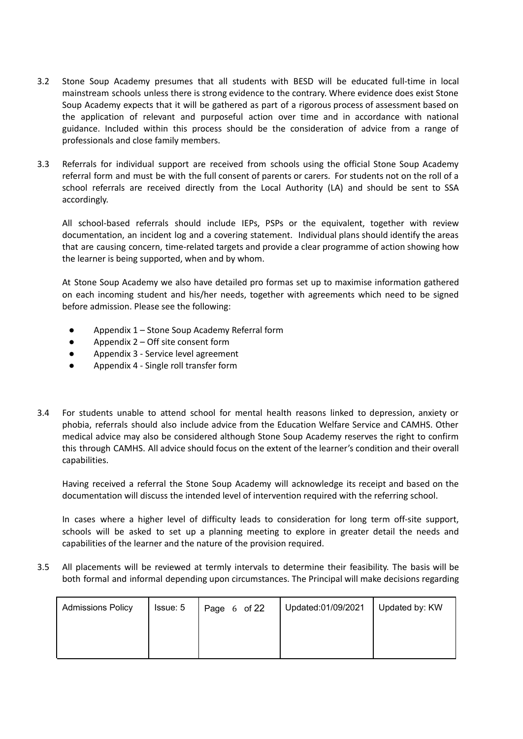- 3.2 Stone Soup Academy presumes that all students with BESD will be educated full-time in local mainstream schools unless there is strong evidence to the contrary. Where evidence does exist Stone Soup Academy expects that it will be gathered as part of a rigorous process of assessment based on the application of relevant and purposeful action over time and in accordance with national guidance. Included within this process should be the consideration of advice from a range of professionals and close family members.
- 3.3 Referrals for individual support are received from schools using the official Stone Soup Academy referral form and must be with the full consent of parents or carers. For students not on the roll of a school referrals are received directly from the Local Authority (LA) and should be sent to SSA accordingly.

All school-based referrals should include IEPs, PSPs or the equivalent, together with review documentation, an incident log and a covering statement. Individual plans should identify the areas that are causing concern, time-related targets and provide a clear programme of action showing how the learner is being supported, when and by whom.

At Stone Soup Academy we also have detailed pro formas set up to maximise information gathered on each incoming student and his/her needs, together with agreements which need to be signed before admission. Please see the following:

- Appendix 1 Stone Soup Academy Referral form
- $\bullet$  Appendix 2 Off site consent form
- Appendix 3 Service level agreement
- Appendix 4 Single roll transfer form
- 3.4 For students unable to attend school for mental health reasons linked to depression, anxiety or phobia, referrals should also include advice from the Education Welfare Service and CAMHS. Other medical advice may also be considered although Stone Soup Academy reserves the right to confirm this through CAMHS. All advice should focus on the extent of the learner's condition and their overall capabilities.

Having received a referral the Stone Soup Academy will acknowledge its receipt and based on the documentation will discuss the intended level of intervention required with the referring school.

In cases where a higher level of difficulty leads to consideration for long term off-site support, schools will be asked to set up a planning meeting to explore in greater detail the needs and capabilities of the learner and the nature of the provision required.

3.5 All placements will be reviewed at termly intervals to determine their feasibility. The basis will be both formal and informal depending upon circumstances. The Principal will make decisions regarding

| <b>Admissions Policy</b> | Issue: 5 | Page 6 of 22 | Updated:01/09/2021 | Updated by: KW |
|--------------------------|----------|--------------|--------------------|----------------|
|                          |          |              |                    |                |
|                          |          |              |                    |                |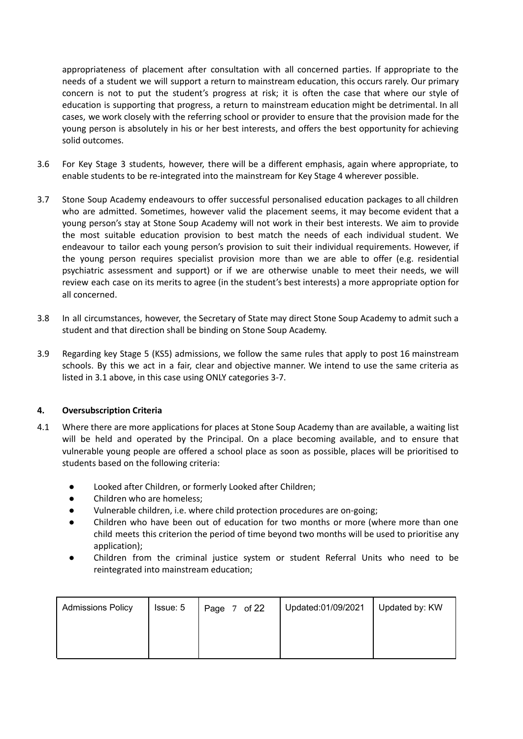appropriateness of placement after consultation with all concerned parties. If appropriate to the needs of a student we will support a return to mainstream education, this occurs rarely. Our primary concern is not to put the student's progress at risk; it is often the case that where our style of education is supporting that progress, a return to mainstream education might be detrimental. In all cases, we work closely with the referring school or provider to ensure that the provision made for the young person is absolutely in his or her best interests, and offers the best opportunity for achieving solid outcomes.

- 3.6 For Key Stage 3 students, however, there will be a different emphasis, again where appropriate, to enable students to be re-integrated into the mainstream for Key Stage 4 wherever possible.
- 3.7 Stone Soup Academy endeavours to offer successful personalised education packages to all children who are admitted. Sometimes, however valid the placement seems, it may become evident that a young person's stay at Stone Soup Academy will not work in their best interests. We aim to provide the most suitable education provision to best match the needs of each individual student. We endeavour to tailor each young person's provision to suit their individual requirements. However, if the young person requires specialist provision more than we are able to offer (e.g. residential psychiatric assessment and support) or if we are otherwise unable to meet their needs, we will review each case on its merits to agree (in the student's best interests) a more appropriate option for all concerned.
- 3.8 In all circumstances, however, the Secretary of State may direct Stone Soup Academy to admit such a student and that direction shall be binding on Stone Soup Academy.
- 3.9 Regarding key Stage 5 (KS5) admissions, we follow the same rules that apply to post 16 mainstream schools. By this we act in a fair, clear and objective manner. We intend to use the same criteria as listed in 3.1 above, in this case using ONLY categories 3-7.

#### **4. Oversubscription Criteria**

- 4.1 Where there are more applications for places at Stone Soup Academy than are available, a waiting list will be held and operated by the Principal. On a place becoming available, and to ensure that vulnerable young people are offered a school place as soon as possible, places will be prioritised to students based on the following criteria:
	- Looked after Children, or formerly Looked after Children;
	- Children who are homeless;
	- Vulnerable children, i.e. where child protection procedures are on-going;
	- Children who have been out of education for two months or more (where more than one child meets this criterion the period of time beyond two months will be used to prioritise any application);
	- Children from the criminal justice system or student Referral Units who need to be reintegrated into mainstream education;

| <b>Admissions Policy</b> | Issue: 5 | Page 7 of 22 | Updated:01/09/2021 | Updated by: KW |
|--------------------------|----------|--------------|--------------------|----------------|
|                          |          |              |                    |                |
|                          |          |              |                    |                |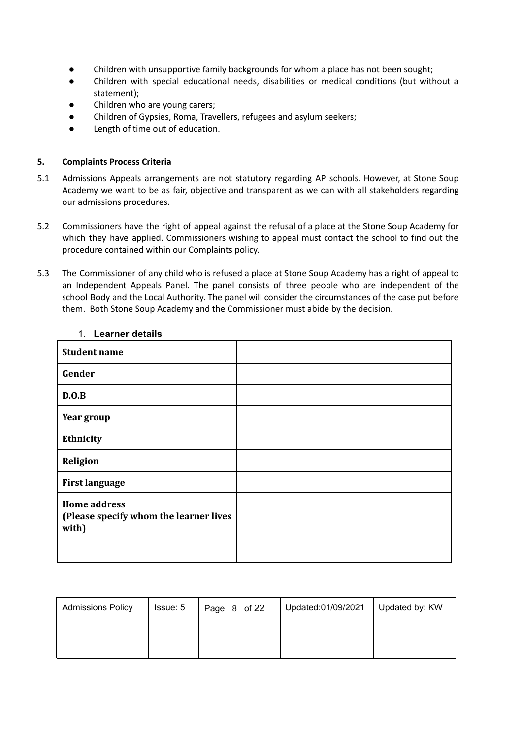- Children with unsupportive family backgrounds for whom a place has not been sought;
- Children with special educational needs, disabilities or medical conditions (but without a statement);
- Children who are young carers;
- Children of Gypsies, Roma, Travellers, refugees and asylum seekers;
- Length of time out of education.

#### **5. Complaints Process Criteria**

- 5.1 Admissions Appeals arrangements are not statutory regarding AP schools. However, at Stone Soup Academy we want to be as fair, objective and transparent as we can with all stakeholders regarding our admissions procedures.
- 5.2 Commissioners have the right of appeal against the refusal of a place at the Stone Soup Academy for which they have applied. Commissioners wishing to appeal must contact the school to find out the procedure contained within our Complaints policy.
- 5.3 The Commissioner of any child who is refused a place at Stone Soup Academy has a right of appeal to an Independent Appeals Panel. The panel consists of three people who are independent of the school Body and the Local Authority. The panel will consider the circumstances of the case put before them. Both Stone Soup Academy and the Commissioner must abide by the decision.

| <b>Student name</b>                                                    |  |
|------------------------------------------------------------------------|--|
| Gender                                                                 |  |
| D.O.B                                                                  |  |
| Year group                                                             |  |
| Ethnicity                                                              |  |
| Religion                                                               |  |
| <b>First language</b>                                                  |  |
| <b>Home address</b><br>(Please specify whom the learner lives<br>with) |  |

#### 1. **Learner details**

| <b>Admissions Policy</b> | Issue: 5 | Page 8 of 22 | Updated:01/09/2021 | Updated by: KW |
|--------------------------|----------|--------------|--------------------|----------------|
|                          |          |              |                    |                |
|                          |          |              |                    |                |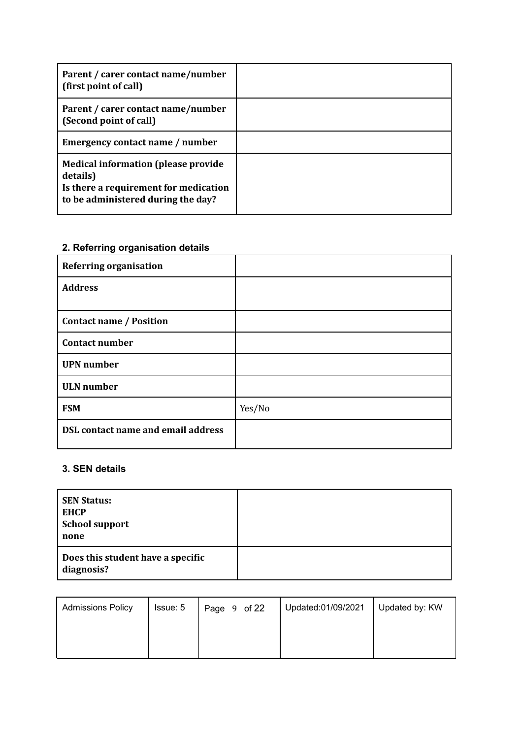| Parent / carer contact name/number<br>(first point of call)                                                                            |  |
|----------------------------------------------------------------------------------------------------------------------------------------|--|
| Parent / carer contact name/number<br>(Second point of call)                                                                           |  |
| Emergency contact name / number                                                                                                        |  |
| <b>Medical information (please provide)</b><br>details)<br>Is there a requirement for medication<br>to be administered during the day? |  |

### **2. Referring organisation details**

| <b>Referring organisation</b>             |        |
|-------------------------------------------|--------|
| <b>Address</b>                            |        |
|                                           |        |
| <b>Contact name / Position</b>            |        |
| <b>Contact number</b>                     |        |
| <b>UPN</b> number                         |        |
| <b>ULN</b> number                         |        |
| <b>FSM</b>                                | Yes/No |
| <b>DSL contact name and email address</b> |        |

### **3. SEN details**

| <b>SEN Status:</b><br><b>EHCP</b><br><b>School support</b><br>none |  |
|--------------------------------------------------------------------|--|
| Does this student have a specific<br>diagnosis?                    |  |

| <b>Admissions Policy</b> | Issue: 5 | Page 9 of 22 | Updated:01/09/2021 | Updated by: KW |
|--------------------------|----------|--------------|--------------------|----------------|
|                          |          |              |                    |                |
|                          |          |              |                    |                |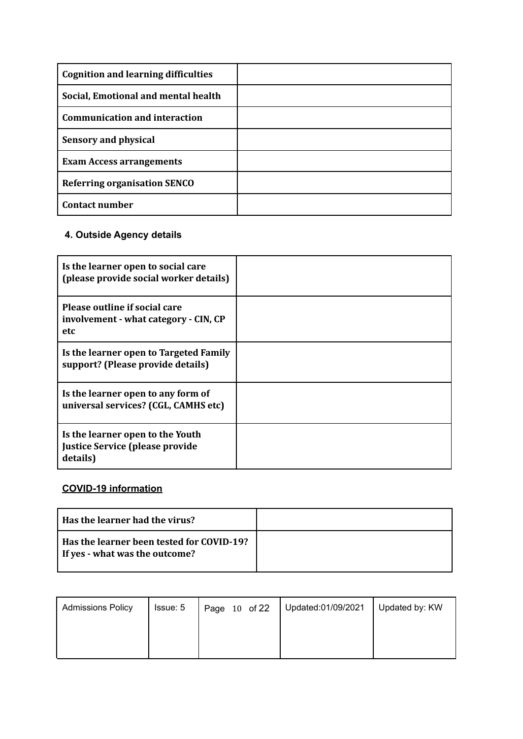| <b>Cognition and learning difficulties</b> |  |
|--------------------------------------------|--|
| Social, Emotional and mental health        |  |
| <b>Communication and interaction</b>       |  |
| <b>Sensory and physical</b>                |  |
| <b>Exam Access arrangements</b>            |  |
| <b>Referring organisation SENCO</b>        |  |
| <b>Contact number</b>                      |  |

### **4. Outside Agency details**

| Is the learner open to social care<br>(please provide social worker details)    |  |
|---------------------------------------------------------------------------------|--|
| Please outline if social care<br>involvement - what category - CIN, CP<br>etc   |  |
| Is the learner open to Targeted Family<br>support? (Please provide details)     |  |
| Is the learner open to any form of<br>universal services? (CGL, CAMHS etc)      |  |
| Is the learner open to the Youth<br>Justice Service (please provide<br>details) |  |

### **COVID-19 information**

| Has the learner had the virus?                                              |  |
|-----------------------------------------------------------------------------|--|
| Has the learner been tested for COVID-19?<br>If yes - what was the outcome? |  |

| <b>Admissions Policy</b> | Issue: 5 | Page 10 of 22 | Updated:01/09/2021 | Updated by: KW |
|--------------------------|----------|---------------|--------------------|----------------|
|                          |          |               |                    |                |
|                          |          |               |                    |                |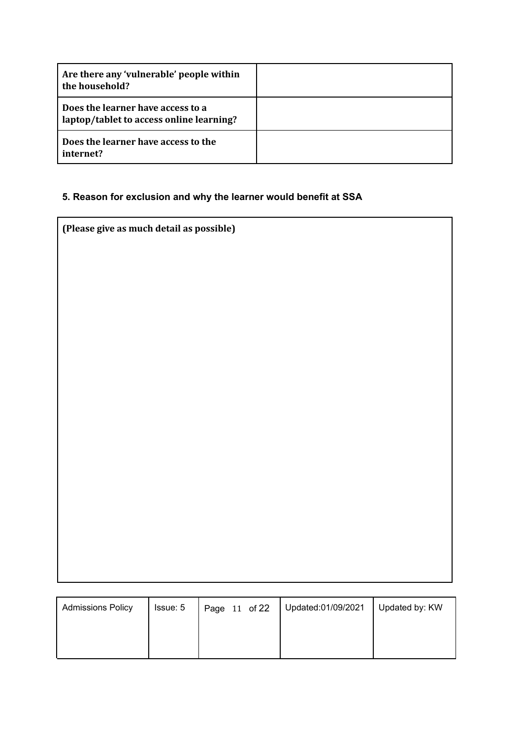| Are there any 'vulnerable' people within<br>the household?                    |  |
|-------------------------------------------------------------------------------|--|
| Does the learner have access to a<br>laptop/tablet to access online learning? |  |
| Does the learner have access to the<br>internet?                              |  |

### **5. Reason for exclusion and why the learner would benefit at SSA**

| (Please give as much detail as possible) |
|------------------------------------------|
|------------------------------------------|

| <b>Admissions Policy</b> | Issue: 5 | Page 11 of 22 | Updated:01/09/2021 | Updated by: KW |
|--------------------------|----------|---------------|--------------------|----------------|
|                          |          |               |                    |                |
|                          |          |               |                    |                |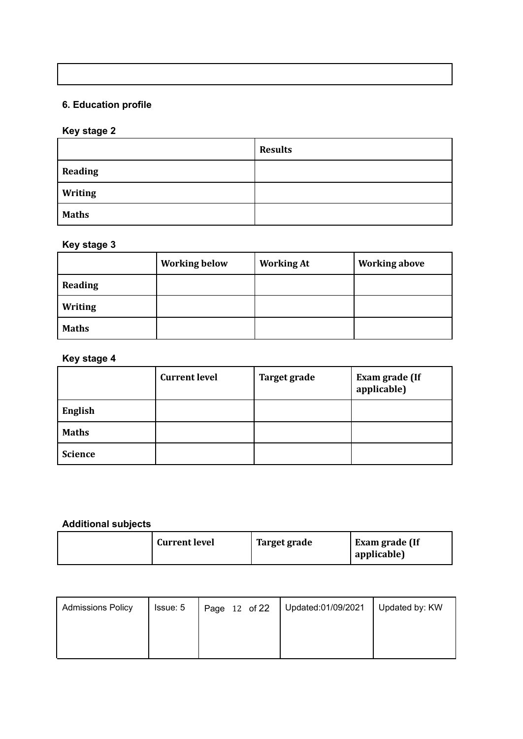### **6. Education profile**

### **Key stage 2**

|                | <b>Results</b> |
|----------------|----------------|
| <b>Reading</b> |                |
| <b>Writing</b> |                |
| <b>Maths</b>   |                |

### **Key stage 3**

|                | <b>Working below</b> | <b>Working At</b> | <b>Working above</b> |
|----------------|----------------------|-------------------|----------------------|
| Reading        |                      |                   |                      |
| <b>Writing</b> |                      |                   |                      |
| <b>Maths</b>   |                      |                   |                      |

#### **Key stage 4**

|                | <b>Current level</b> | <b>Target grade</b> | Exam grade (If<br>applicable) |
|----------------|----------------------|---------------------|-------------------------------|
| <b>English</b> |                      |                     |                               |
| <b>Maths</b>   |                      |                     |                               |
| <b>Science</b> |                      |                     |                               |

### **Additional subjects**

| <b>Current level</b> | Target grade | Exam grade (If<br>applicable) |
|----------------------|--------------|-------------------------------|
|----------------------|--------------|-------------------------------|

| <b>Admissions Policy</b> | Issue: 5 | Page 12 of 22 | Updated:01/09/2021 | Updated by: KW |
|--------------------------|----------|---------------|--------------------|----------------|
|                          |          |               |                    |                |
|                          |          |               |                    |                |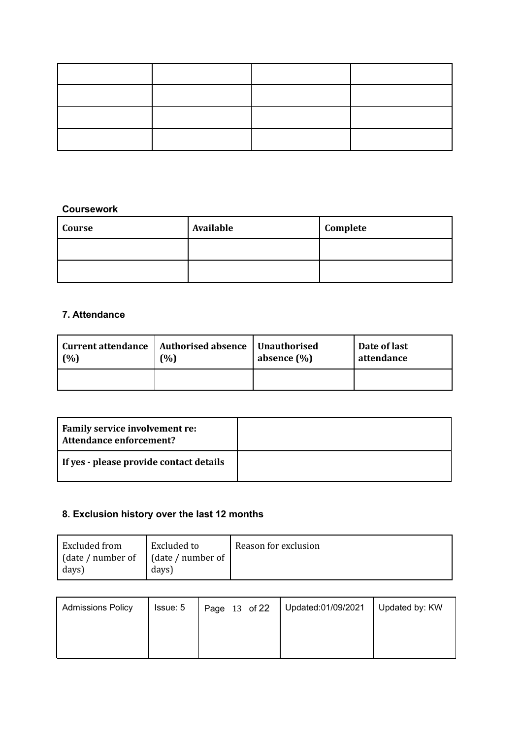#### **Coursework**

| Course | Available | Complete |
|--------|-----------|----------|
|        |           |          |
|        |           |          |

#### **7. Attendance**

| (%) | Current attendance   Authorised absence   Unauthorised<br>(%) | absence $(\% )$ | Date of last<br>attendance |
|-----|---------------------------------------------------------------|-----------------|----------------------------|
|     |                                                               |                 |                            |

| Family service involvement re:<br>Attendance enforcement? |  |
|-----------------------------------------------------------|--|
| If yes - please provide contact details                   |  |

#### **8. Exclusion history over the last 12 months**

| Excluded from    | Excluded to              | Reason for exclusion |
|------------------|--------------------------|----------------------|
| date / number of | $\int$ (date / number of |                      |
| days)            | days)                    |                      |

| <b>Admissions Policy</b> | Issue: 5 | Page 13 of 22 | Updated:01/09/2021 | Updated by: KW |
|--------------------------|----------|---------------|--------------------|----------------|
|                          |          |               |                    |                |
|                          |          |               |                    |                |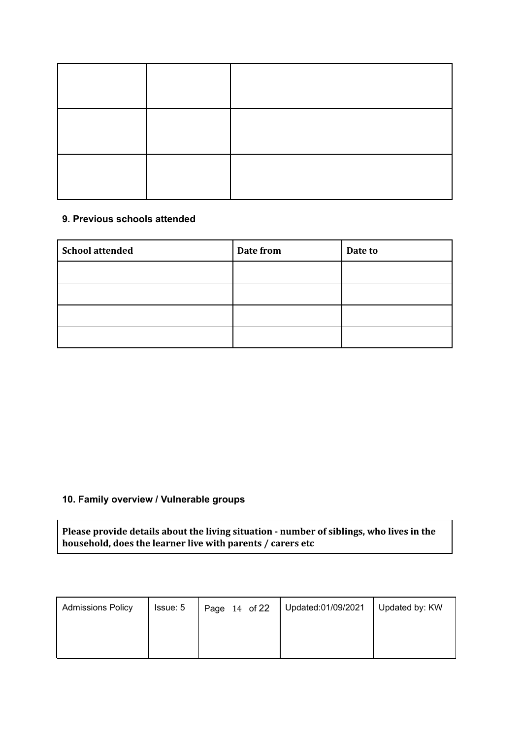#### **9. Previous schools attended**

| <b>School attended</b> | Date from | Date to |
|------------------------|-----------|---------|
|                        |           |         |
|                        |           |         |
|                        |           |         |
|                        |           |         |

#### **10. Family overview / Vulnerable groups**

**Please provide details about the living situation - number of siblings, who lives in the household, does the learner live with parents / carers etc**

| <b>Admissions Policy</b> | Issue: 5 | Page 14 of 22 | Updated:01/09/2021 | Updated by: KW |
|--------------------------|----------|---------------|--------------------|----------------|
|                          |          |               |                    |                |
|                          |          |               |                    |                |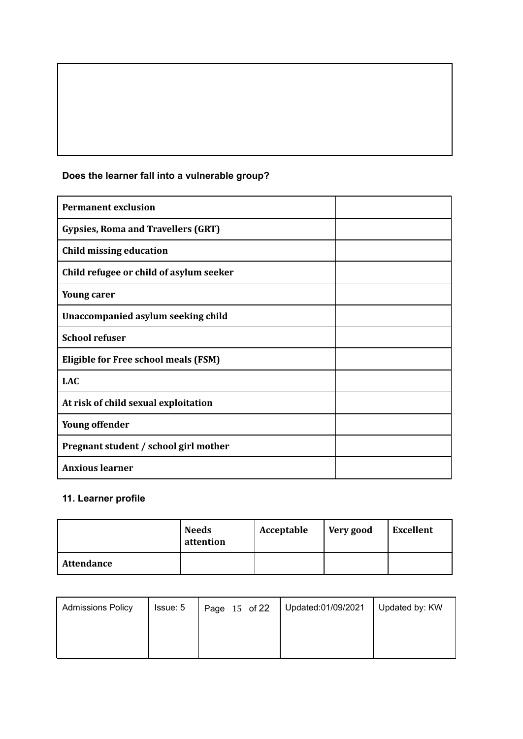| <b>Permanent exclusion</b>                  |  |
|---------------------------------------------|--|
| <b>Gypsies, Roma and Travellers (GRT)</b>   |  |
| Child missing education                     |  |
| Child refugee or child of asylum seeker     |  |
| <b>Young carer</b>                          |  |
| Unaccompanied asylum seeking child          |  |
| <b>School refuser</b>                       |  |
| <b>Eligible for Free school meals (FSM)</b> |  |
| <b>LAC</b>                                  |  |
| At risk of child sexual exploitation        |  |
| <b>Young offender</b>                       |  |
| Pregnant student / school girl mother       |  |
| <b>Anxious learner</b>                      |  |

### **Does the learner fall into a vulnerable group?**

### **11. Learner profile**

|                   | <b>Needs</b><br>attention | Acceptable | Very good | <b>Excellent</b> |
|-------------------|---------------------------|------------|-----------|------------------|
| <b>Attendance</b> |                           |            |           |                  |

| <b>Admissions Policy</b> | Issue: 5 | Page 15 of 22 | Updated:01/09/2021 | Updated by: KW |
|--------------------------|----------|---------------|--------------------|----------------|
|                          |          |               |                    |                |
|                          |          |               |                    |                |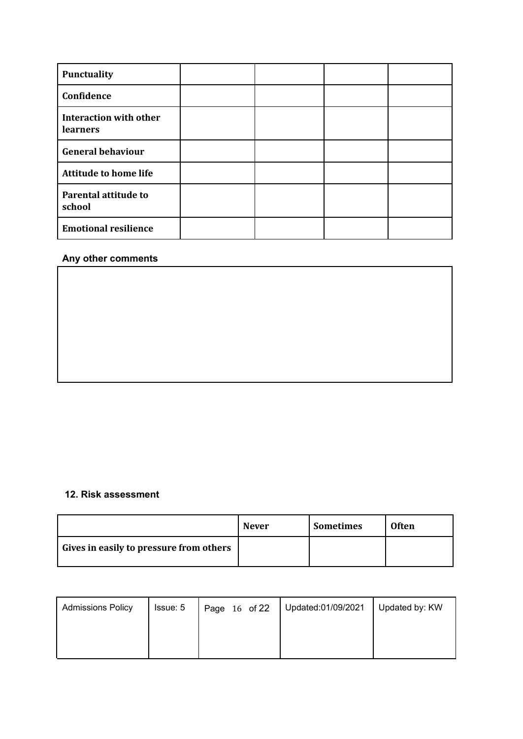| Punctuality                                      |  |  |
|--------------------------------------------------|--|--|
| Confidence                                       |  |  |
| <b>Interaction with other</b><br><b>learners</b> |  |  |
| <b>General behaviour</b>                         |  |  |
| <b>Attitude to home life</b>                     |  |  |
| <b>Parental attitude to</b><br>school            |  |  |
| <b>Emotional resilience</b>                      |  |  |

#### **Any other comments**

#### **12. Risk assessment**

|                                         | <b>Never</b> | <b>Sometimes</b> | <b>Often</b> |
|-----------------------------------------|--------------|------------------|--------------|
| Gives in easily to pressure from others |              |                  |              |

| <b>Admissions Policy</b> | Issue: 5 | Page 16 of 22 | Updated:01/09/2021 | Updated by: KW |
|--------------------------|----------|---------------|--------------------|----------------|
|                          |          |               |                    |                |
|                          |          |               |                    |                |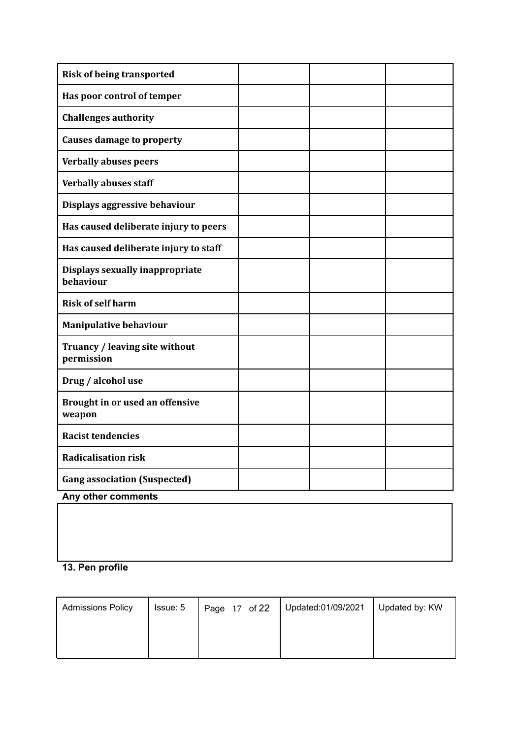| <b>Risk of being transported</b>             |  |  |
|----------------------------------------------|--|--|
| Has poor control of temper                   |  |  |
| <b>Challenges authority</b>                  |  |  |
| <b>Causes damage to property</b>             |  |  |
| <b>Verbally abuses peers</b>                 |  |  |
| <b>Verbally abuses staff</b>                 |  |  |
| Displays aggressive behaviour                |  |  |
| Has caused deliberate injury to peers        |  |  |
| Has caused deliberate injury to staff        |  |  |
| Displays sexually inappropriate<br>behaviour |  |  |
| <b>Risk of self harm</b>                     |  |  |
| <b>Manipulative behaviour</b>                |  |  |
| Truancy / leaving site without<br>permission |  |  |
| Drug / alcohol use                           |  |  |
| Brought in or used an offensive<br>weapon    |  |  |
| <b>Racist tendencies</b>                     |  |  |
| <b>Radicalisation risk</b>                   |  |  |
| <b>Gang association (Suspected)</b>          |  |  |
| Any other comments                           |  |  |

### **13. Pen profile**

| <b>Admissions Policy</b> | Issue: 5 | Page 17 of 22 | Updated:01/09/2021 | Updated by: KW |
|--------------------------|----------|---------------|--------------------|----------------|
|                          |          |               |                    |                |
|                          |          |               |                    |                |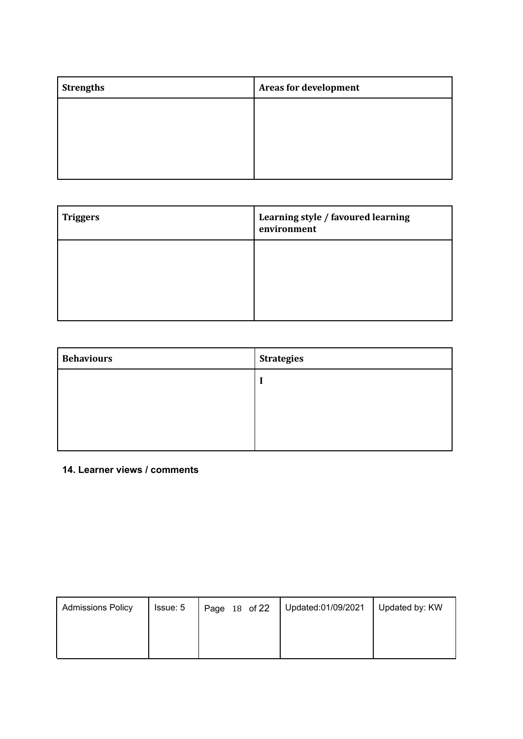| <b>Strengths</b> | <b>Areas for development</b> |
|------------------|------------------------------|
|                  |                              |
|                  |                              |
|                  |                              |
|                  |                              |

| <b>Triggers</b> | Learning style / favoured learning<br>environment |
|-----------------|---------------------------------------------------|
|                 |                                                   |
|                 |                                                   |

| <b>Behaviours</b> | <b>Strategies</b> |
|-------------------|-------------------|
|                   |                   |
|                   |                   |
|                   |                   |
|                   |                   |

**14. Learner views / comments**

| <b>Admissions Policy</b> | Issue: 5 | Page 18 of 22 | Updated:01/09/2021 | Updated by: KW |
|--------------------------|----------|---------------|--------------------|----------------|
|                          |          |               |                    |                |
|                          |          |               |                    |                |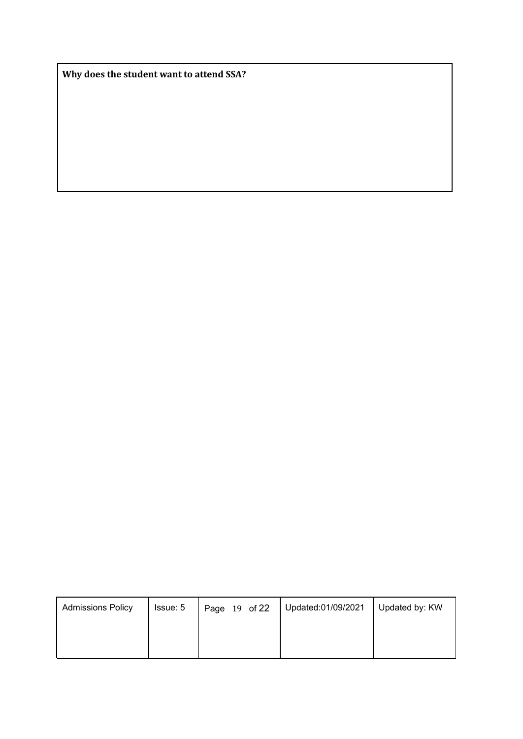**Why does the student want to attend SSA?**

| <b>Admissions Policy</b> | Issue: 5 | Page 19 of 22 | Updated:01/09/2021 | Updated by: KW |
|--------------------------|----------|---------------|--------------------|----------------|
|                          |          |               |                    |                |
|                          |          |               |                    |                |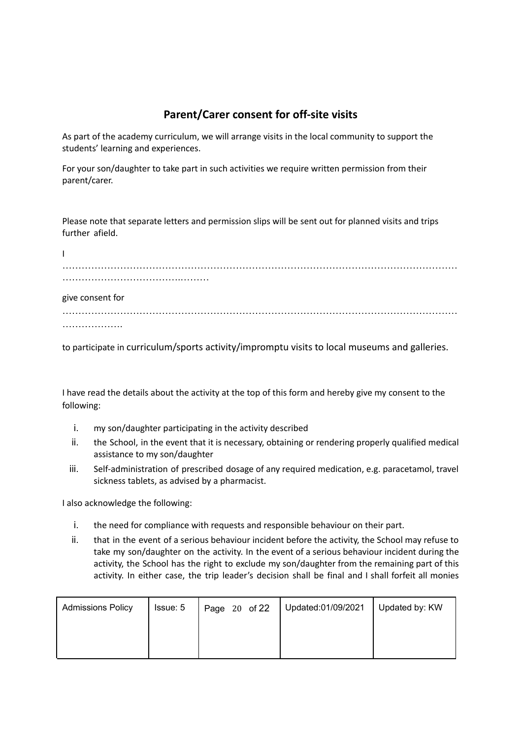### **Parent/Carer consent for off-site visits**

As part of the academy curriculum, we will arrange visits in the local community to support the students' learning and experiences.

For your son/daughter to take part in such activities we require written permission from their parent/carer.

Please note that separate letters and permission slips will be sent out for planned visits and trips further afield.

| L                |  |
|------------------|--|
|                  |  |
|                  |  |
| give consent for |  |
|                  |  |
| .                |  |

to participate in curriculum/sports activity/impromptu visits to local museums and galleries.

I have read the details about the activity at the top of this form and hereby give my consent to the following:

- i. my son/daughter participating in the activity described
- ii. the School, in the event that it is necessary, obtaining or rendering properly qualified medical assistance to my son/daughter
- iii. Self-administration of prescribed dosage of any required medication, e.g. paracetamol, travel sickness tablets, as advised by a pharmacist.

I also acknowledge the following:

- i. the need for compliance with requests and responsible behaviour on their part.
- ii. that in the event of a serious behaviour incident before the activity, the School may refuse to take my son/daughter on the activity. In the event of a serious behaviour incident during the activity, the School has the right to exclude my son/daughter from the remaining part of this activity. In either case, the trip leader's decision shall be final and I shall forfeit all monies

| <b>Admissions Policy</b> | Issue: 5 | $\vert$ Page 20 of 22 | Updated:01/09/2021 | Updated by: KW |
|--------------------------|----------|-----------------------|--------------------|----------------|
|                          |          |                       |                    |                |
|                          |          |                       |                    |                |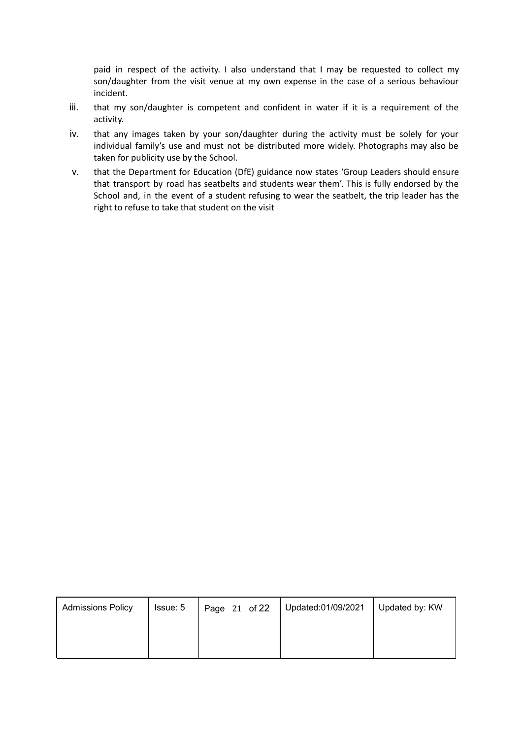paid in respect of the activity. I also understand that I may be requested to collect my son/daughter from the visit venue at my own expense in the case of a serious behaviour incident.

- iii. that my son/daughter is competent and confident in water if it is a requirement of the activity.
- iv. that any images taken by your son/daughter during the activity must be solely for your individual family's use and must not be distributed more widely. Photographs may also be taken for publicity use by the School.
- v. that the Department for Education (DfE) guidance now states 'Group Leaders should ensure that transport by road has seatbelts and students wear them'. This is fully endorsed by the School and, in the event of a student refusing to wear the seatbelt, the trip leader has the right to refuse to take that student on the visit

| <b>Admissions Policy</b> | Issue: 5 | Page 21 of 22 | Updated:01/09/2021 | Updated by: KW |
|--------------------------|----------|---------------|--------------------|----------------|
|                          |          |               |                    |                |
|                          |          |               |                    |                |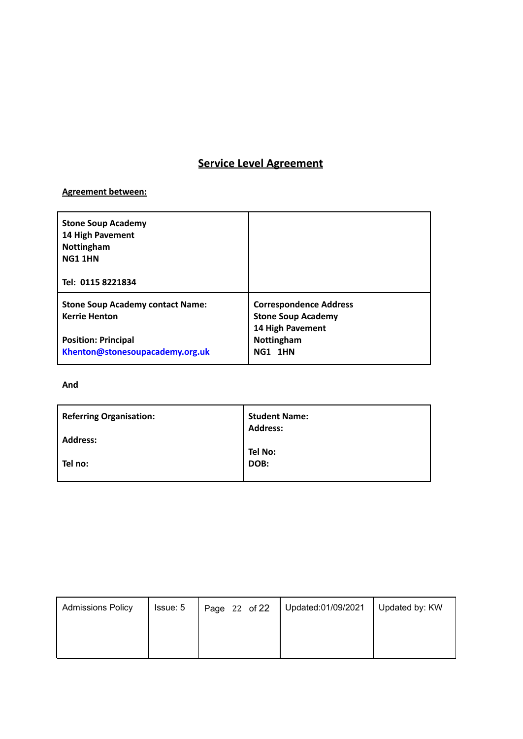### **Service Level Agreement**

#### **Agreement between:**

| <b>Stone Soup Academy</b><br>14 High Pavement<br>Nottingham<br><b>NG1 1HN</b><br>Tel: 0115 8221834 |                                                            |
|----------------------------------------------------------------------------------------------------|------------------------------------------------------------|
| <b>Stone Soup Academy contact Name:</b><br><b>Kerrie Henton</b>                                    | <b>Correspondence Address</b><br><b>Stone Soup Academy</b> |
| <b>Position: Principal</b><br>Khenton@stonesoupacademy.org.uk                                      | 14 High Pavement<br>Nottingham<br><b>NG1 1HN</b>           |

#### **And**

| <b>Referring Organisation:</b> | <b>Student Name:</b><br><b>Address:</b> |
|--------------------------------|-----------------------------------------|
| <b>Address:</b>                |                                         |
|                                | Tel No:                                 |
| Tel no:                        | DOB:                                    |
|                                |                                         |

| <b>Admissions Policy</b> | Issue: 5 | Page 22 of 22 | Updated:01/09/2021 | Updated by: KW |
|--------------------------|----------|---------------|--------------------|----------------|
|                          |          |               |                    |                |
|                          |          |               |                    |                |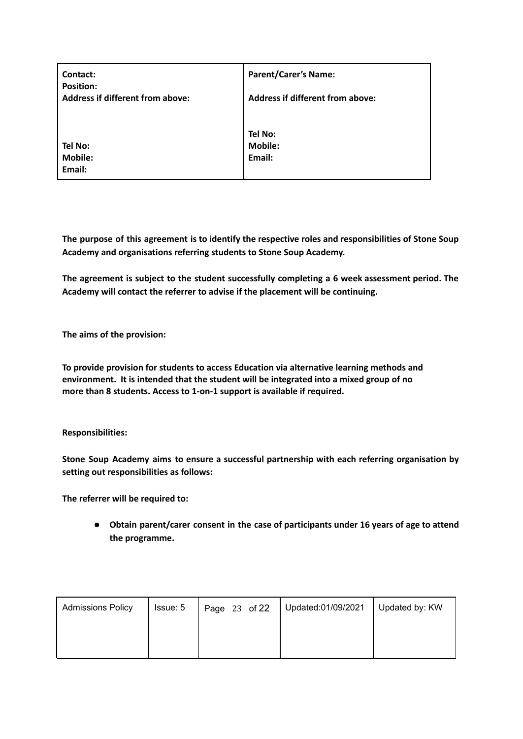| Contact:<br><b>Position:</b><br><b>Address if different from above:</b> | <b>Parent/Carer's Name:</b><br><b>Address if different from above:</b> |
|-------------------------------------------------------------------------|------------------------------------------------------------------------|
| Tel No:                                                                 | Tel No:                                                                |
| <b>Mobile:</b>                                                          | <b>Mobile:</b>                                                         |
| Email:                                                                  | Email:                                                                 |

**The purpose of this agreement is to identify the respective roles and responsibilities of Stone Soup Academy and organisations referring students to Stone Soup Academy.**

**The agreement is subject to the student successfully completing a 6 week assessment period. The Academy will contact the referrer to advise if the placement will be continuing.**

**The aims of the provision:**

**To provide provision for students to access Education via alternative learning methods and environment. It is intended that the student will be integrated into a mixed group of no more than 8 students. Access to 1-on-1 support is available if required.**

**Responsibilities:**

**Stone Soup Academy aims to ensure a successful partnership with each referring organisation by setting out responsibilities as follows:**

**The referrer will be required to:**

● **Obtain parent/carer consent in the case of participants under 16 years of age to attend the programme.**

| <b>Admissions Policy</b> | Issue: 5 | Page 23 of 22 | Updated:01/09/2021 | Updated by: KW |
|--------------------------|----------|---------------|--------------------|----------------|
|                          |          |               |                    |                |
|                          |          |               |                    |                |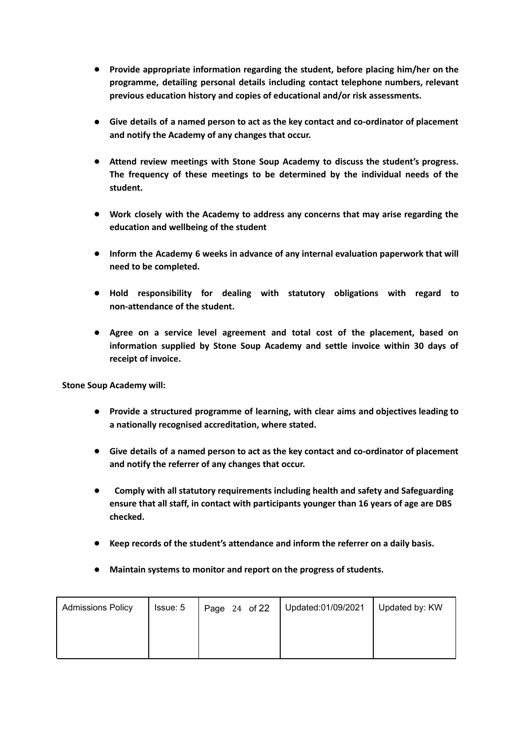- **Provide appropriate information regarding the student, before placing him/her on the programme, detailing personal details including contact telephone numbers, relevant previous education history and copies of educational and/or risk assessments.**
- **Give details of a named person to act as the key contact and co-ordinator of placement and notify the Academy of any changes that occur.**
- **Attend review meetings with Stone Soup Academy to discuss the student's progress. The frequency of these meetings to be determined by the individual needs of the student.**
- **Work closely with the Academy to address any concerns that may arise regarding the education and wellbeing of the student**
- **Inform the Academy 6 weeks in advance of any internal evaluation paperwork that will need to be completed.**
- **Hold responsibility for dealing with statutory obligations with regard to non-attendance of the student.**
- **Agree on a service level agreement and total cost of the placement, based on information supplied by Stone Soup Academy and settle invoice within 30 days of receipt of invoice.**

**Stone Soup Academy will:**

- **Provide a structured programme of learning, with clear aims and objectives leading to a nationally recognised accreditation, where stated.**
- **Give details of a named person to act as the key contact and co-ordinator of placement and notify the referrer of any changes that occur.**
- **Comply with all statutory requirements including health and safety and Safeguarding ensure that all staff, in contact with participants younger than 16 years of age are DBS checked.**
- **Keep records of the student's attendance and inform the referrer on a daily basis.**
- **Maintain systems to monitor and report on the progress of students.**

| <b>Admissions Policy</b> | Issue: 5 | Page 24 of 22 | Updated:01/09/2021 | Updated by: KW |
|--------------------------|----------|---------------|--------------------|----------------|
|                          |          |               |                    |                |
|                          |          |               |                    |                |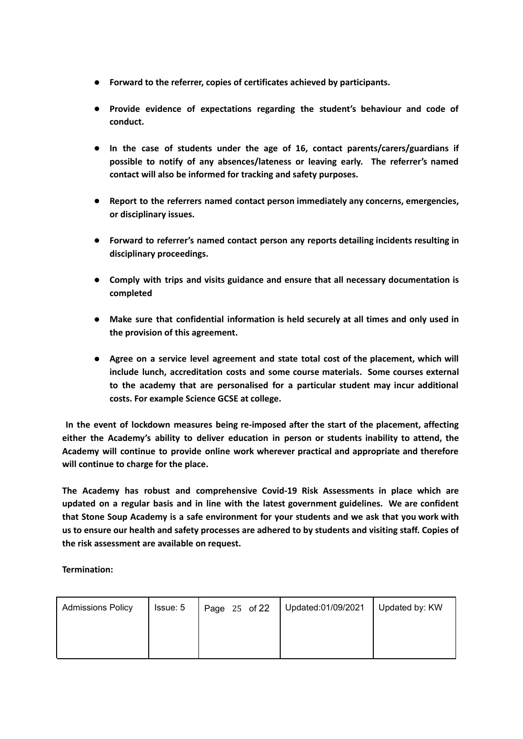- **Forward to the referrer, copies of certificates achieved by participants.**
- **Provide evidence of expectations regarding the student's behaviour and code of conduct.**
- **In the case of students under the age of 16, contact parents/carers/guardians if possible to notify of any absences/lateness or leaving early. The referrer's named contact will also be informed for tracking and safety purposes.**
- **Report to the referrers named contact person immediately any concerns, emergencies, or disciplinary issues.**
- **Forward to referrer's named contact person any reports detailing incidents resulting in disciplinary proceedings.**
- **Comply with trips and visits guidance and ensure that all necessary documentation is completed**
- **Make sure that confidential information is held securely at all times and only used in the provision of this agreement.**
- **Agree on a service level agreement and state total cost of the placement, which will include lunch, accreditation costs and some course materials. Some courses external to the academy that are personalised for a particular student may incur additional costs. For example Science GCSE at college.**

**In the event of lockdown measures being re-imposed after the start of the placement, affecting either the Academy's ability to deliver education in person or students inability to attend, the Academy will continue to provide online work wherever practical and appropriate and therefore will continue to charge for the place.**

**The Academy has robust and comprehensive Covid-19 Risk Assessments in place which are updated on a regular basis and in line with the latest government guidelines. We are confident that Stone Soup Academy is a safe environment for your students and we ask that you work with** us to ensure our health and safety processes are adhered to by students and visiting staff. Copies of **the risk assessment are available on request.**

**Termination:**

| <b>Admissions Policy</b> | Issue: 5 | Page 25 of 22 | Updated:01/09/2021 | Updated by: KW |
|--------------------------|----------|---------------|--------------------|----------------|
|                          |          |               |                    |                |
|                          |          |               |                    |                |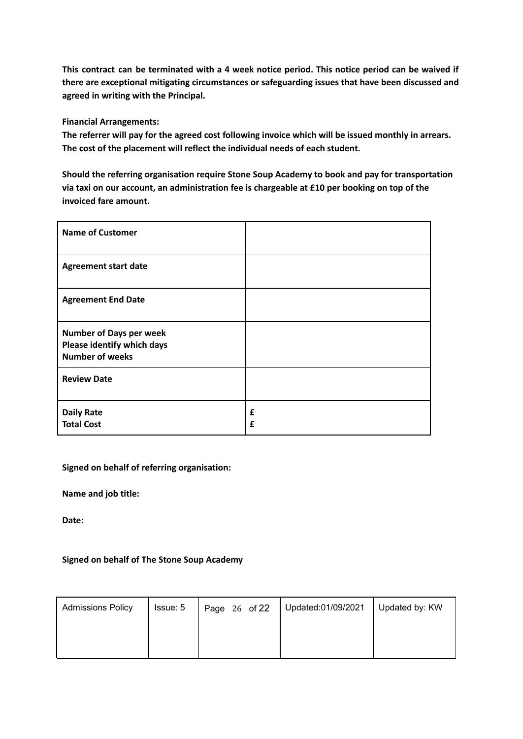**This contract can be terminated with a 4 week notice period. This notice period can be waived if there are exceptional mitigating circumstances or safeguarding issues that have been discussed and agreed in writing with the Principal.**

**Financial Arrangements:**

**The referrer will pay for the agreed cost following invoice which will be issued monthly in arrears. The cost of the placement will reflect the individual needs of each student.**

**Should the referring organisation require Stone Soup Academy to book and pay for transportation via taxi on our account, an administration fee is chargeable at £10 per booking on top of the invoiced fare amount.**

| <b>Name of Customer</b>                                                                |        |
|----------------------------------------------------------------------------------------|--------|
| <b>Agreement start date</b>                                                            |        |
| <b>Agreement End Date</b>                                                              |        |
| <b>Number of Days per week</b><br>Please identify which days<br><b>Number of weeks</b> |        |
| <b>Review Date</b>                                                                     |        |
| <b>Daily Rate</b><br><b>Total Cost</b>                                                 | £<br>£ |

#### **Signed on behalf of referring organisation:**

**Name and job title:**

**Date:**

#### **Signed on behalf of The Stone Soup Academy**

| <b>Admissions Policy</b> | Issue: 5 | Page 26 of 22 | Updated:01/09/2021 | Updated by: KW |
|--------------------------|----------|---------------|--------------------|----------------|
|                          |          |               |                    |                |
|                          |          |               |                    |                |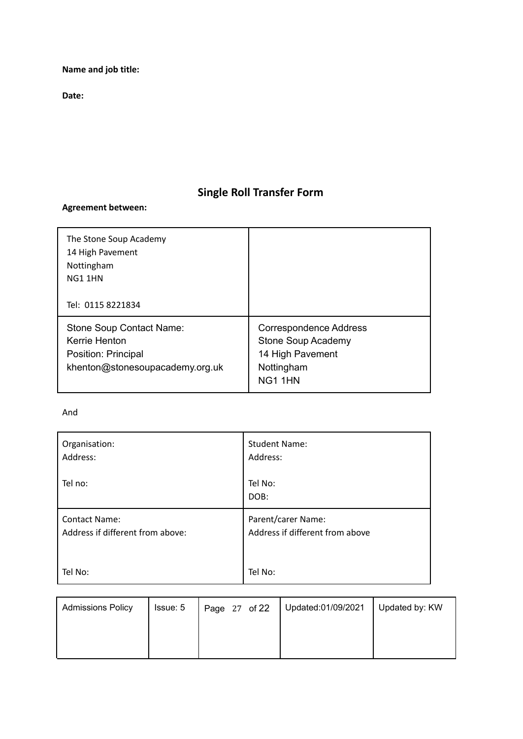**Name and job title:**

**Date:**

### **Single Roll Transfer Form**

#### **Agreement between:**

| The Stone Soup Academy<br>14 High Pavement<br>Nottingham<br>NG1 1HN<br>Tel: 0115 8221834            |                                                                                                  |
|-----------------------------------------------------------------------------------------------------|--------------------------------------------------------------------------------------------------|
| Stone Soup Contact Name:<br>Kerrie Henton<br>Position: Principal<br>khenton@stonesoupacademy.org.uk | <b>Correspondence Address</b><br>Stone Soup Academy<br>14 High Pavement<br>Nottingham<br>NG1 1HN |

#### And

| Organisation:                    | <b>Student Name:</b>            |
|----------------------------------|---------------------------------|
| Address:                         | Address:                        |
| Tel no:                          | Tel No:<br>DOB:                 |
| <b>Contact Name:</b>             | Parent/carer Name:              |
| Address if different from above: | Address if different from above |
| Tel No:                          | Tel No:                         |

| <b>Admissions Policy</b> | Issue: 5 | Page 27 of 22 | Updated:01/09/2021 | Updated by: KW |
|--------------------------|----------|---------------|--------------------|----------------|
|                          |          |               |                    |                |
|                          |          |               |                    |                |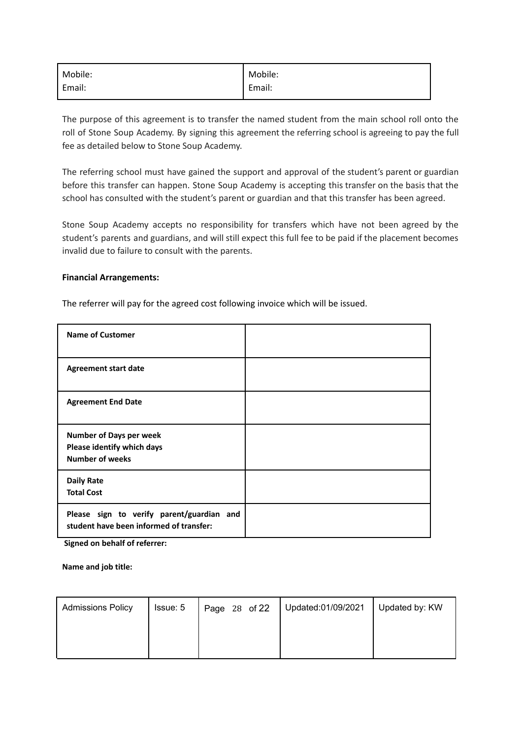| Mobile:  | Mobile: |
|----------|---------|
| ' Email: | Email:  |

The purpose of this agreement is to transfer the named student from the main school roll onto the roll of Stone Soup Academy. By signing this agreement the referring school is agreeing to pay the full fee as detailed below to Stone Soup Academy.

The referring school must have gained the support and approval of the student's parent or guardian before this transfer can happen. Stone Soup Academy is accepting this transfer on the basis that the school has consulted with the student's parent or guardian and that this transfer has been agreed.

Stone Soup Academy accepts no responsibility for transfers which have not been agreed by the student's parents and guardians, and will still expect this full fee to be paid if the placement becomes invalid due to failure to consult with the parents.

#### **Financial Arrangements:**

The referrer will pay for the agreed cost following invoice which will be issued.

| <b>Name of Customer</b>                                                                |  |
|----------------------------------------------------------------------------------------|--|
| <b>Agreement start date</b>                                                            |  |
| <b>Agreement End Date</b>                                                              |  |
| <b>Number of Days per week</b><br>Please identify which days<br><b>Number of weeks</b> |  |
| <b>Daily Rate</b><br><b>Total Cost</b>                                                 |  |
| Please sign to verify parent/guardian and<br>student have been informed of transfer:   |  |

**Signed on behalf of referrer:**

**Name and job title:**

| <b>Admissions Policy</b> | Issue: 5 | Page 28 of 22 | Updated:01/09/2021 | Updated by: KW |
|--------------------------|----------|---------------|--------------------|----------------|
|                          |          |               |                    |                |
|                          |          |               |                    |                |